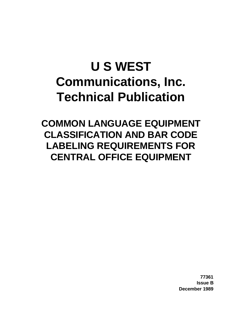# **U S WEST Communications, Inc. Technical Publication**

**COMMON LANGUAGE EQUIPMENT CLASSIFICATION AND BAR CODE LABELING REQUIREMENTS FOR CENTRAL OFFICE EQUIPMENT**

> **77361 Issue B December 1989**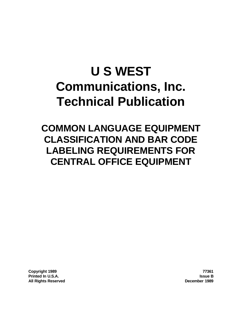# **U S WEST Communications, Inc. Technical Publication**

**COMMON LANGUAGE EQUIPMENT CLASSIFICATION AND BAR CODE LABELING REQUIREMENTS FOR CENTRAL OFFICE EQUIPMENT**

**Copyright 1989 77361 Printed In U.S.A. Issue B All Rights Reserved December 1989**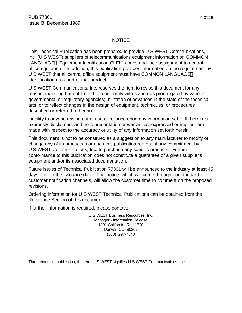#### NOTICE

This Technical Publication has been prepared to provide U S WEST Communications, Inc. (U S WEST) suppliers of telecommunications equipment information on COMMON LANGUAGE® Equipment Identification CLEI™ codes and their assignment to central office equipment. In addition, this publication provides information on the requirement by U S WEST that all central office equipment must have COMMON LANGUAGE® identification as a part of that product.

U S WEST Communications, Inc. reserves the right to revise this document for any reason, including but not limited to, conformity with standards promulgated by various governmental or regulatory agencies; utilization of advances in the state of the technical arts; or to reflect changes in the design of equipment, techniques, or procedures described or referred to herein.

Liability to anyone arising out of use or reliance upon any information set forth herein is expressly disclaimed, and no representation or warranties, expressed or implied, are made with respect to the accuracy or utility of any information set forth herein.

This document is not to be construed as a suggestion to any manufacturer to modify or change any of its products, nor does this publication represent any commitment by U S WEST Communications, Inc. to purchase any specific products. Further, conformance to this publication does not constitute a guarantee of a given supplier's equipment and/or its associated documentation.

Future issues of Technical Publication 77361 will be announced to the industry at least 45 days prior to the issuance date. This notice, which will come through our standard customer notification channels, will allow the customer time to comment on the proposed revisions.

Ordering information for U S WEST Technical Publications can be obtained from the Reference Section of this document.

If further information is required, please contact:

U S WEST Business Resources, Inc. Manager - Information Release 1801 California, Rm. 1320 Denver, CO 80202 (303) 297-7640

Throughout this publication, the term U S WEST signifies U S WEST Communications, Inc.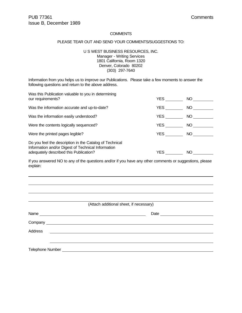#### **COMMENTS**

#### PLEASE TEAR OUT AND SEND YOUR COMMENTS/SUGGESTIONS TO:

U S WEST BUSINESS RESOURCES, INC. Manager - Writing Services 1801 California, Room 1320 Denver, Colorado 80202 (303) 297-7640

Information from you helps us to improve our Publications. Please take a few moments to answer the following questions and return to the above address.

| Was this Publication valuable to you in determining<br>our requirements?                                                                                | YES        | NO 1         |
|---------------------------------------------------------------------------------------------------------------------------------------------------------|------------|--------------|
| Was the information accurate and up-to-date?                                                                                                            | YES.       | NO.          |
| Was the information easily understood?                                                                                                                  | <b>YES</b> | NO.          |
| Were the contents logically sequenced?                                                                                                                  | <b>YES</b> | NO <b>NO</b> |
| Were the printed pages legible?                                                                                                                         | YES        | NO 1         |
| Do you feel the description in the Catalog of Technical<br>Information and/or Digest of Technical Information<br>adequately described this Publication? | YES.       | NO.          |

If you answered NO to any of the questions and/or if you have any other comments or suggestions, please explain:

|                                                                                                                                                                                                                                                        | (Attach additional sheet, if necessary) |
|--------------------------------------------------------------------------------------------------------------------------------------------------------------------------------------------------------------------------------------------------------|-----------------------------------------|
|                                                                                                                                                                                                                                                        |                                         |
|                                                                                                                                                                                                                                                        |                                         |
| <b>Address</b><br><u> Alexandria (Carlos Carlos Carlos Carlos Carlos Carlos Carlos Carlos Carlos Carlos Carlos Carlos Carlos Carlos Carlos Carlos Carlos Carlos Carlos Carlos Carlos Carlos Carlos Carlos Carlos Carlos Carlos Carlos Carlos Carlo</u> |                                         |
|                                                                                                                                                                                                                                                        |                                         |
|                                                                                                                                                                                                                                                        |                                         |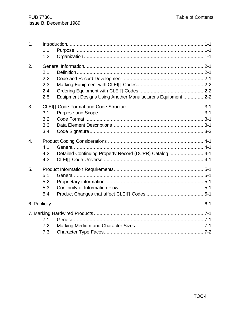| 1.               | 1.1<br>1.2                                                                                       |  |
|------------------|--------------------------------------------------------------------------------------------------|--|
| 2.               | 2.1<br>2.2<br>2.3<br>2.4<br>Equipment Designs Using Another Manufacturer's Equipment  2-2<br>2.5 |  |
| 3.               | 3.1<br>3.2<br>3.3<br>3.4                                                                         |  |
| $\overline{4}$ . | 4.1<br>Detailed Continuing Property Record (DCPR) Catalog  4-1<br>4.2<br>4.3                     |  |
| 5.               | 5.1<br>5.2<br>5.3<br>5.4                                                                         |  |
|                  |                                                                                                  |  |
|                  | 7.1<br>7.2<br>7.3                                                                                |  |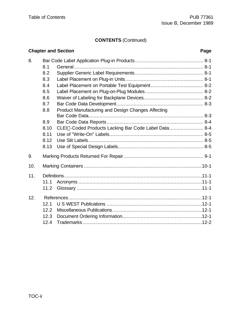# **CONTENTS** (Continued)

|     |      | <b>Chapter and Section</b>                           | Page |
|-----|------|------------------------------------------------------|------|
| 8.  |      |                                                      |      |
|     | 8.1  |                                                      |      |
|     | 8.2  |                                                      |      |
|     | 8.3  |                                                      |      |
|     | 8.4  |                                                      |      |
|     | 8.5  |                                                      |      |
|     | 8.6  |                                                      |      |
|     | 8.7  |                                                      |      |
|     | 8.8  | Product Manufacturing and Design Changes Affecting   |      |
|     |      |                                                      |      |
|     | 8.9  |                                                      |      |
|     | 8.10 | CLEI™-Coded Products Lacking Bar Code Label Data 8-4 |      |
|     | 8.11 |                                                      |      |
|     | 8.12 |                                                      |      |
|     | 8.13 |                                                      |      |
| 9.  |      |                                                      |      |
| 10. |      |                                                      |      |
| 11. |      |                                                      |      |
|     | 11.1 |                                                      |      |
|     | 11.2 |                                                      |      |
| 12. |      |                                                      |      |
|     | 12.1 |                                                      |      |
|     | 12.2 |                                                      |      |
|     | 12.3 |                                                      |      |
|     | 12.4 |                                                      |      |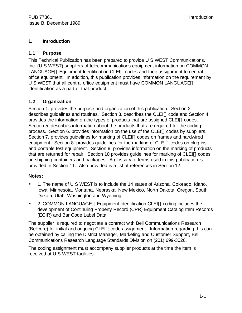#### **1. Introduction**

#### **1.1 Purpose**

This Technical Publication has been prepared to provide U S WEST Communications, Inc. (U S WEST) suppliers of telecommunications equipment information on COMMON LANGUAGE<sup>®</sup> Equipment Identification CLEI™ codes and their assignment to central office equipment. In addition, this publication provides information on the requirement by U S WEST that all central office equipment must have COMMON LANGUAGE® identification as a part of that product.

#### **1.2 Organization**

Section 1. provides the purpose and organization of this publication. Section 2. describes quidelines and routines. Section 3. describes the  $CLEI^{\pi}$  code and Section 4. provides the information on the types of products that are assigned  $CLEI^{\pi}$  codes. Section 5. describes information about the products that are required for the coding process. Section 6. provides information on the use of the CLEI™ codes by suppliers. Section 7. provides guidelines for marking of CLEI™ codes on frames and hardwired equipment. Section 8. provides guidelines for the marking of CLEI<sup>TM</sup> codes on plug-ins and portable test equipment. Section 9. provides information on the marking of products that are returned for repair. Section 10 provides guidelines for marking of CLEI<sup>TM</sup> codes on shipping containers and packages. A glossary of terms used in this publication is provided in Section 11. Also provided is a list of references in Section 12.

#### **Notes:**

- 1. The name of U S WEST is to include the 14 states of Arizona, Colorado, Idaho, Iowa, Minnesota, Montana, Nebraska, New Mexico, North Dakota, Oregon, South Dakota, Utah, Washington and Wyoming.
- 2. COMMON LANGUAGE<sup>®</sup> Equipment Identification CLEI™ coding includes the development of Continuing Property Record (CPR) Equipment Catalog Item Records (ECIR) and Bar Code Label Data.

The supplier is required to negotiate a contract with Bell Communications Research (Bellcore) for initial and ongoing  $CLEI^M$  code assignment. Information regarding this can be obtained by calling the District Manager, Marketing and Customer Support, Bell Communications Research Language Standards Division on (201) 699-3026.

The coding assignment must accompany supplier products at the time the item is received at U S WEST facilities.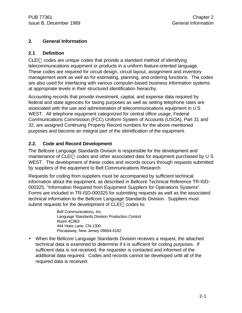# **2. General Information**

#### **2.1 Definition**

 $CLEI^{\pi}$  codes are unique codes that provide a standard method of identifying telecommunications equipment or products in a uniform feature-oriented language. These codes are required for circuit design, circuit layout, assignment and inventory management work as well as for estimating, planning, and ordering functions. The codes are also used for interfacing with various computer-based business information systems at appropriate levels in their structured identification hierarchy.

Accounting records that provide investment, capital, and expense data required by federal and state agencies for taxing purposes as well as setting telephone rates are associated with the use and administration of telecommunications equipment in U S WEST. All telephone equipment categorized for central office usage, Federal Communications Commission (FCC) Uniform System of Accounts (USOA), Part 31 and 32, are assigned Continuing Property Record numbers for the above mentioned purposes and become an integral part of the identification of the equipment.

# **2.2. Code and Record Development**

The Bellcore Language Standards Division is responsible for the development and maintenance of CLEI<sup>TM</sup> codes and other associated data for equipment purchased by  $U S$ WEST. The development of these codes and records occurs through requests submitted by suppliers of the equipment to Bell Communications Research.

Requests for coding from suppliers must be accompanied by sufficient technical information about the equipment, as described in Bellcore Technical Reference TR-ISD-000325, "Information Required from Equipment Suppliers for Operations Systems". Forms are included in TR-ISD-000325 for submitting requests as well as the associated technical information to the Bellcore Language Standards Division. Suppliers must submit requests for the development of CLEI™ codes to:

> Bell Communications, Inc. Language Standards Division Production Control Room 4C863 444 Hoes Lane, CN-1300 Piscataway, New Jersey 08854-4182

• When the Bellcore Language Standards Division receives a request, the attached technical data is examined to determine if it is sufficient for coding purposes. If sufficient data is not received, the requester is contacted and informed of the additional data required. Codes and records cannot be developed until all of the required data is received.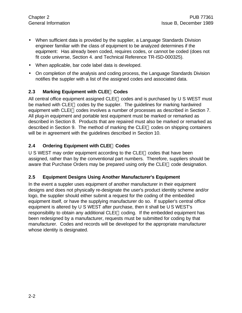- When sufficient data is provided by the supplier, a Language Standards Division engineer familiar with the class of equipment to be analyzed determines if the equipment: Has already been coded, requires codes, or cannot be coded (does not fit code universe, Section 4. and Technical Reference TR-ISD-000325).
- When applicable, bar code label data is developed.
- On completion of the analysis and coding process, the Language Standards Division notifies the suppler with a list of the assigned codes and associated data.

# **2.3 Marking Equipment with CLEIä Codes**

All central office equipment assigned CLEI<sup>TM</sup> codes and is purchased by U S WEST must be marked with CLEI<sup>™</sup> codes by the suppler. The guidelines for marking hardwired equipment with CLEI™ codes involves a number of processes as described in Section 7. All plug-in equipment and portable test equipment must be marked or remarked as described in Section 8. Products that are repaired must also be marked or remarked as described in Section 9. The method of marking the CLEI<sup>™</sup> codes on shipping containers will be in agreement with the guidelines described in Section 10.

# **2.4 Ordering Equipment with CLEIä Codes**

 $U S WEST$  may order equipment according to the CLEI<sup> $M$ </sup> codes that have been assigned, rather than by the conventional part numbers. Therefore, suppliers should be aware that Purchase Orders may be prepared using only the CLEI™ code designation.

# **2.5 Equipment Designs Using Another Manufacturer's Equipment**

In the event a suppler uses equipment of another manufacturer in their equipment designs and does not physically re-designate the user's product identity scheme and/or logo, the supplier should either submit a request for the coding of the embedded equipment itself, or have the supplying manufacturer do so. If supplier's central office equipment is altered by U S WEST after purchase, then it shall be U S WEST's responsibility to obtain any additional CLEI™ coding. If the embedded equipment has been redesigned by a manufacturer, requests must be submitted for coding by that manufacturer. Codes and records will be developed for the appropriate manufacturer whose identity is designated.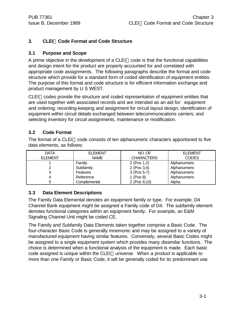# **3. CLEIä Code Format and Code Structure**

# **3.1 Purpose and Scope**

A prime objective in the development of a CLEI<sup> $M$ </sup> code is that the functional capabilities and design intent for the product are properly accounted for and correlated with appropriate code assignments. The following paragraphs describe the format and code structure which provide for a standard form of coded identification of equipment entities. The purpose of this format and code structure is for efficient information exchange and product management by U S WEST.

 $CLEI<sup>TM</sup>$  codes provide the structure and coded representation of equipment entities that are used together with associated records and are intended as an aid for: equipment and ordering; recording-keeping and assignment for circuit layout design; identification of equipment within circuit details exchanged between telecommunications carriers; and selecting inventory for circuit assignments, maintenance or modification.

# **3.2 Code Format**

The format of a CLEI<sup> $M$ </sup> code consists of ten alphanumeric characters apportioned to five data elements, as follows:

| <b>DATA</b>    | <b>ELEMENT</b>  | NO. OF            | <b>ELEMENT</b> |
|----------------|-----------------|-------------------|----------------|
| <b>ELEMENT</b> | <b>NAME</b>     | <b>CHARACTERS</b> | <b>CODES</b>   |
|                | Family          | 2 (Pos 1,2)       | Alphanumeric   |
|                | Subfamily       | 2 (Pos $3,4$ )    | Alphanumeric   |
| ື              | <b>Features</b> | $3$ (Pos 5-7)     | Alphanumeric   |
|                | Reference       | 1 (Pos 8)         | Alphanumeric   |
|                | Complemental    | 2 (Pos 9,10)      | Alpha          |

# **3.3 Data Element Descriptions**

The Family Data Elemental denotes an equipment family or type. For example, D4 Channel Bank equipment might be assigned a Family code of D4. The subfamily element denotes functional categories within an equipment family. For example, an E&M Signaling Channel Unit might be coded CE.

The Family and Subfamily Data Elements taken together comprise a Basic Code. The four-character Basic Code is generally mnemonic and may be assigned to a variety of manufactured equipment having similar features. Conversely, several Basic Codes might be assigned to a single equipment system which provides many dissimilar functions. The choice is determined when a functional analysis of the equipment is made. Each basic code assigned is unique within the CLEI<sup> $m$ </sup> universe. When a product is applicable to more than one Family or Basic Code, it will be generally coded for its predominant use.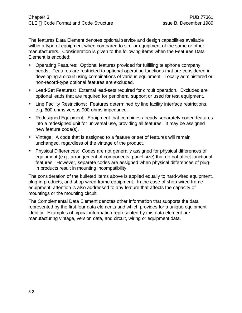The features Data Element denotes optional service and design capabilities available within a type of equipment when compared to similar equipment of the same or other manufacturers. Consideration is given to the following items when the Features Data Element is encoded:

- Operating Features: Optional features provided for fulfilling telephone company needs. Features are restricted to optional operating functions that are considered in developing a circuit using combinations of various equipment. Locally administered or non-record-type optional features are excluded.
- Lead-Set Features: External lead-sets required for circuit operation. Excluded are optional leads that are required for peripheral support or used for test equipment.
- Line Facility Restrictions: Features determined by line facility interface restrictions, e.g. 600-ohms versus 900-ohms impedance.
- Redesigned Equipment: Equipment that combines already separately-coded features into a redesigned unit for universal use, providing all features. It may be assigned new feature code(s).
- Vintage: A code that is assigned to a feature or set of features will remain unchanged, regardless of the vintage of the product.
- Physical Differences: Codes are not generally assigned for physical differences of equipment (e.g., arrangement of components, panel size) that do not affect functional features. However, separate codes are assigned when physical differences of plugin products result in mounting incompatibility.

The consideration of the bulleted items above is applied equally to hard-wired equipment, plug-in products, and shop-wired frame equipment. In the case of shop-wired frame equipment, attention is also addressed to any feature that affects the capacity of mountings or the mounting circuit.

The Complemental Data Element denotes other information that supports the data represented by the first four data elements and which provides for a unique equipment identity. Examples of typical information represented by this data element are manufacturing vintage, version data, and circuit, wiring or equipment data.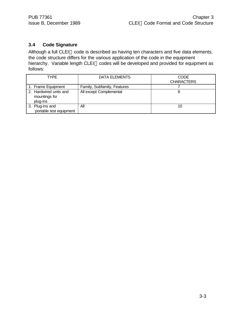# **3.4 Code Signature**

Although a full CLEI™ code is described as having ten characters and five data elements, the code structure differs for the various application of the code in the equipment hierarchy. Variable length CLEI™ codes will be developed and provided for equipment as follows:

| TYPE                                                | DATA ELEMENTS               | CODE              |
|-----------------------------------------------------|-----------------------------|-------------------|
|                                                     |                             | <b>CHARACTERS</b> |
| 1. Frame Equipment                                  | Family, Subfamily, Features |                   |
| 2. Hardwired units and<br>mountings for<br>plug-ins | All except Complemental     |                   |
| 3. Plug-ins and<br>portable test equipment          | All                         | 10                |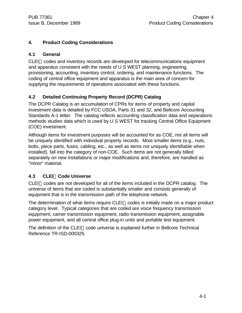#### **4. Product Coding Considerations**

#### **4.1 General**

 $CLEI<sup>TM</sup> codes and inventory records are developed for telecommunications equivalent$ and apparatus consistent with the needs of U S WEST planning, engineering, provisioning, accounting, inventory control, ordering, and maintenance functions. The coding of central office equipment and apparatus is the main area of concern for supplying the requirements of operations associated with these functions.

# **4.2 Detailed Continuing Property Record (DCPR) Catalog**

The DCPR Catalog is an accumulation of CPRs for items of property and capital investment data is detailed by FCC USOA, Parts 31 and 32, and Bellcore Accounting Standards A-1 letter. The catalog reflects accounting classification data and separations methods studies data which is used by U S WEST for tracking Central Office Equipment (COE) investment.

Although items for investment purposes will be accounted for as COE, not all items will be uniquely identified with individual property records. Most smaller items (e.g., nuts, bolts, piece parts, fuses, cabling, etc., as well as items not uniquely identifiable when installed), fall into the category of non-COE. Such items are not generally billed separately on new installations or major modifications and, therefore, are handled as "minor" material.

# **4.3 CLEIä Code Universe**

 $CLEI<sup>TM</sup> codes are not developed for all of the items included in the DCPR catalog. The$ universe of items that are coded is substantially smaller and consists generally of equipment that is in the transmission path of the telephone network.

The determination of what items require CLEI<sup> $M$ </sup> codes is initially made on a major product category level. Typical categories that are coded are voice frequency transmission equipment, carrier transmission equipment, radio transmission equipment, assignable power equipment, and all central office plug-in units and portable test equipment.

The definition of the CLEI<sup> $M$ </sup> code universe is explained further in Bellcore Technical Reference TR-ISD-000325.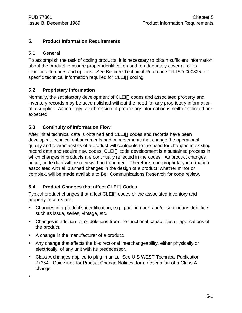# **5. Product Information Requirements**

# **5.1 General**

To accomplish the task of coding products, it is necessary to obtain sufficient information about the product to assure proper identification and to adequately cover all of its functional features and options. See Bellcore Technical Reference TR-ISD-000325 for specific technical information required for CLEI™ coding.

# **5.2 Proprietary information**

Normally, the satisfactory development of CLEI<sup>™</sup> codes and associated property and inventory records may be accomplished without the need for any proprietary information of a supplier. Accordingly, a submission of proprietary information is neither solicited nor expected.

# **5.3 Continuity of Information Flow**

After initial technical data is obtained and CLEI™ codes and records have been developed, technical enhancements and improvements that change the operational quality and characteristics of a product will contribute to the need for changes in existing record data and require new codes. CLEI™ code development is a sustained process in which changes in products are continually reflected in the codes. As product changes occur, code data will be reviewed and updated. Therefore, non-proprietary information associated with all planned changes in the design of a product, whether minor or complex, will be made available to Bell Communications Research for code review.

# **5.4 Product Changes that affect CLEIä Codes**

Typical product changes that affect CLEI™ codes or the associated inventory and property records are:

- Changes in a product's identification, e.g., part number, and/or secondary identifiers such as issue, series, vintage, etc.
- Changes in addition to, or deletions from the functional capabilities or applications of the product.
- A change in the manufacturer of a product.
- Any change that affects the bi-directional interchangeability, either physically or electrically, of any unit with its predecessor.
- Class A changes applied to plug-in units. See U S WEST Technical Publication 77354, Guidelines for Product Change Notices, for a description of a Class A change.

•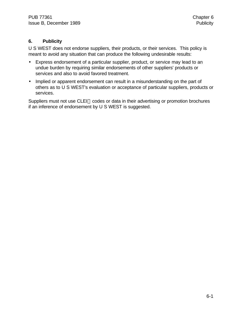# **6. Publicity**

U S WEST does not endorse suppliers, their products, or their services. This policy is meant to avoid any situation that can produce the following undesirable results:

- Express endorsement of a particular supplier, product, or service may lead to an undue burden by requiring similar endorsements of other suppliers' products or services and also to avoid favored treatment.
- Implied or apparent endorsement can result in a misunderstanding on the part of others as to U S WEST's evaluation or acceptance of particular suppliers, products or services.

Suppliers must not use CLEI™ codes or data in their advertising or promotion brochures if an inference of endorsement by U S WEST is suggested.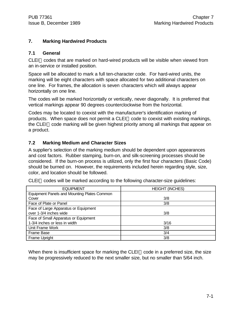#### **7. Marking Hardwired Products**

#### **7.1 General**

 $CLEI^{\pi}$  codes that are marked on hard-wired products will be visible when viewed from an in-service or installed position.

Space will be allocated to mark a full ten-character code. For hard-wired units, the marking will be eight characters with space allocated for two additional characters on one line. For frames, the allocation is seven characters which will always appear horizontally on one line.

The codes will be marked horizontally or vertically, never diagonally. It is preferred that vertical markings appear 90 degrees counterclockwise from the horizontal.

Codes may be located to coexist with the manufacturer's identification marking of products. When space does not permit a CLEI™ code to coexist with existing markings, the CLEI<sup>TM</sup> code marking will be given highest priority among all markings that appear on a product.

#### **7.2 Marking Medium and Character Sizes**

A supplier's selection of the marking medium should be dependent upon appearances and cost factors. Rubber stamping, burn-on, and silk-screening processes should be considered. If the burn-on process is utilized, only the first four characters (Basic Code) should be burned on. However, the requirements included herein regarding style, size, color, and location should be followed.

| <b>EQUIPMENT</b>                            | <b>HEIGHT (INCHES)</b> |
|---------------------------------------------|------------------------|
| Equipment Panels and Mounting Plates Common |                        |
| Cover                                       | 3/8                    |
| Face of Plate or Panel                      | 3/8                    |
| Face of Large Apparatus or Equipment        |                        |
| over 1-3/4 inches wide                      | 3/8                    |
| Face of Small Apparatus or Equipment        |                        |
| 1-3/4 inches or less in width               | 3/16                   |
| Unit Frame Work                             | 3/8                    |
| <b>Frame Base</b>                           | 3/4                    |
| Frame Upright                               | 3/8                    |

 $CLEI<sup>TM</sup> codes will be marked according to the following character-size guidelines:$ 

When there is insufficient space for marking the CLEI<sup> $M$ </sup> code in a preferred size, the size may be progressively reduced to the next smaller size, but no smaller than 5/64 inch.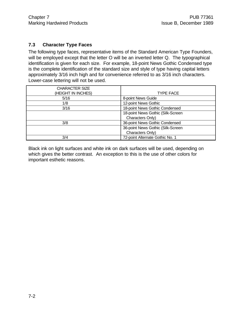#### **7.3 Character Type Faces**

The following type faces, representative items of the Standard American Type Founders, will be employed except that the letter O will be an inverted letter Q. The typographical identification is given for each size. For example, 18-point News Gothic Condensed type is the complete identification of the standard size and style of type having capital letters approximately 3/16 inch high and for convenience referred to as 3/16 inch characters. Lower-case lettering will not be used.

| <b>CHARACTER SIZE</b><br>(HEIGHT IN INCHES) | <b>TYPE FACE</b>                  |
|---------------------------------------------|-----------------------------------|
| 5/16                                        | 8-point News Guide                |
| 1/8                                         | 12-point News Gothic              |
| 3/16                                        | 18-point News Gothic Condensed    |
|                                             | 18-point News Gothic (Silk-Screen |
|                                             | Characters Only)                  |
| 3/8                                         | 36-point News Gothic Condensed    |
|                                             | 36-point News Gothic (Silk-Screen |
|                                             | Characters Only)                  |
| 3/4                                         | 72-point Alternate Gothic No. 1   |

Black ink on light surfaces and white ink on dark surfaces will be used, depending on which gives the better contrast. An exception to this is the use of other colors for important esthetic reasons.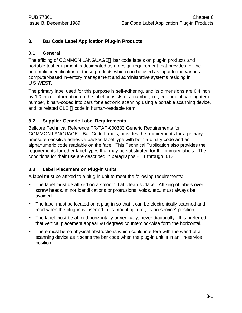# **8. Bar Code Label Application Plug-in Products**

#### **8.1 General**

The affixing of COMMON LANGUAGE<sup>®</sup> bar code labels on plug-in products and portable test equipment is designated as a design requirement that provides for the automatic identification of these products which can be used as input to the various computer-based inventory management and administrative systems residing in U S WEST.

The primary label used for this purpose is self-adhering, and its dimensions are 0.4 inch by 1.0 inch. Information on the label consists of a number, i.e., equipment catalog item number, binary-coded into bars for electronic scanning using a portable scanning device, and its related CLEI™ code in human-readable form.

# **8.2 Supplier Generic Label Requirements**

Bellcore Technical Reference TR-TAP-000383 Generic Requirements for COMMON LANGUAGE<sup>®</sup> Bar Code Labels, provides the requirements for a primary pressure-sensitive adhesive-backed label type with both a binary code and an alphanumeric code readable on the face. This Technical Publication also provides the requirements for other label types that may be substituted for the primary labels. The conditions for their use are described in paragraphs 8.11 through 8.13.

# **8.3 Label Placement on Plug-in Units**

A label must be affixed to a plug-in unit to meet the following requirements:

- The label must be affixed on a smooth, flat, clean surface. Affixing of labels over screw heads, minor identifications or protrusions, voids, etc., must always be avoided.
- The label must be located on a plug-in so that it can be electronically scanned and read when the plug-in is inserted in its mounting, (i.e., its "in-service" position).
- The label must be affixed horizontally or vertically, never diagonally. It is preferred that vertical placement appear 90 degrees counterclockwise form the horizontal.
- There must be no physical obstructions which could interfere with the wand of a scanning device as it scans the bar code when the plug-in unit is in an "in-service position.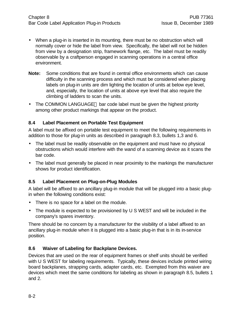- When a plug-in is inserted in its mounting, there must be no obstruction which will normally cover or hide the label from view. Specifically, the label will not be hidden from view by a designation strip, framework flange, etc. The label must be readily observable by a craftperson engaged in scanning operations in a central office environment.
- **Note:** Some conditions that are found in central office environments which can cause difficulty in the scanning process and which must be considered when placing labels on plug-in units are dim lighting the location of units at below eye level, and, especially, the location of units at above eye level that also require the climbing of ladders to scan the units.
- The COMMON LANGUAGE $\circledast$  bar code label must be given the highest priority among other product markings that appear on the product.

#### **8.4 Label Placement on Portable Test Equipment**

A label must be affixed on portable test equipment to meet the following requirements in addition to those for plug-in units as described in paragraph 8.3, bullets 1,3 and 6.

- The label must be readily observable on the equipment and must have no physical obstructions which would interfere with the wand of a scanning device as it scans the bar code.
- The label must generally be placed in near proximity to the markings the manufacturer shows for product identification.

# **8.5 Label Placement on Plug-on-Plug Modules**

A label will be affixed to an ancillary plug-in module that will be plugged into a basic plugin when the following conditions exist:

- There is no space for a label on the module.
- The module is expected to be provisioned by U S WEST and will be included in the company's spares inventory.

There should be no concern by a manufacturer for the visibility of a label affixed to an ancillary plug-in module when it is plugged into a basic plug-in that is in its in-service position.

# **8.6 Waiver of Labeling for Backplane Devices.**

Devices that are used on the rear of equipment frames or shelf units should be verified with U S WEST for labeling requirements. Typically, these devices include printed wiring board backplanes, strapping cards, adapter cards, etc. Exempted from this waiver are devices which meet the same conditions for labeling as shown in paragraph 8.5, bullets 1 and 2.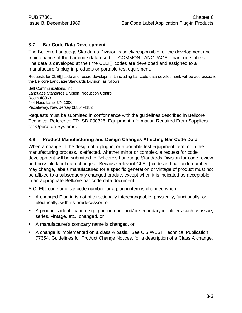#### **8.7 Bar Code Data Development**

The Bellcore Language Standards Division is solely responsible for the development and maintenance of the bar code data used for COMMON LANGUAGE® bar code labels. The data is developed at the time CLEI<sup> $M$ </sup> codes are developed and assigned to a manufacturer's plug-in products or portable test equipment.

Requests for CLEI™code and record development, including bar code data development, will be addressed to the Bellcore Language Standards Division, as follows:

Bell Communications, Inc. Language Standards Division Production Control Room 4C863 444 Hoes Lane, CN-1300 Piscataway, New Jersey 08854-4182

Requests must be submitted in conformance with the guidelines described in Bellcore Technical Reference TR-ISD-000325, Equipment Information Required From Suppliers for Operation Systems.

#### **8.8 Product Manufacturing and Design Changes Affecting Bar Code Data**

When a change in the design of a plug-in, or a portable test equipment item, or in the manufacturing process, is effected, whether minor or complex, a request for code development will be submitted to Bellcore's Language Standards Division for code review and possible label data changes. Because relevant CLEI™ code and bar code number may change, labels manufactured for a specific generation or vintage of product must not be affixed to a subsequently changed product except when it is indicated as acceptable in an appropriate Bellcore bar code data document.

A CLEI<sup>IM</sup> code and bar code number for a plug-in item is changed when:

- A changed Plug-in is not bi-directionally interchangeable, physically, functionally, or electrically, with its predecessor, or
- A product's identification e.g., part number and/or secondary identifiers such as issue, series, vintage, etc., changed, or
- A manufacturer's company name is changed, or
- A change is implemented on a class A basis. See U S WEST Technical Publication 77354, Guidelines for Product Change Notices, for a description of a Class A change.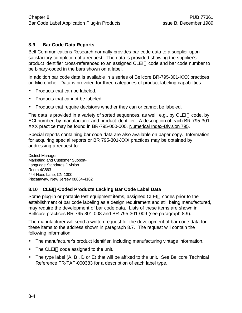#### **8.9 Bar Code Data Reports**

Bell Communications Research normally provides bar code data to a supplier upon satisfactory completion of a request. The data is provided showing the supplier's product identifier cross-referenced to an assigned CLEI™ code and bar code number to be binary-coded in the bars shown on a label.

In addition bar code data is available in a series of Bellcore BR-795-301-XXX practices on Microfiche. Data is provided for three categories of product labeling capabilities.

- Products that can be labeled.
- Products that cannot be labeled.
- Products that require decisions whether they can or cannot be labeled.

The data is provided in a variety of sorted sequences, as well, e.g., by CLEI<sup>TM</sup> code, by ECI number, by manufacturer and product identifier. A description of each BR-795-301- XXX practice may be found in BR-795-000-000, Numerical Index-Division 795.

Special reports containing bar code data are also available on paper copy. Information for acquiring special reports or BR 795-301-XXX practices may be obtained by addressing a request to:

District Manager Marketing and Customer Support-Language Standards Division Room 4C863 444 Hoes Lane, CN-1300 Piscataway, New Jersey 08854-4182

#### **8.10 CLEIä-Coded Products Lacking Bar Code Label Data**

Some plug-in or portable test equipment items, assigned  $CLEI^{\pi}$  codes prior to the establishment of bar code labeling as a design requirement and still being manufactured, may require the development of bar code data. Lists of these items are shown in Bellcore practices BR 795-301-008 and BR 795-301-009 (see paragraph 8.9).

The manufacturer will send a written request for the development of bar code data for these items to the address shown in paragraph 8.7. The request will contain the following information:

- The manufacturer's product identifier, including manufacturing vintage information.
- $\bullet$  The CLEI<sup>TM</sup> code assigned to the unit.
- The type label (A, B, D or E) that will be affixed to the unit. See Bellcore Technical Reference TR-TAP-000383 for a description of each label type.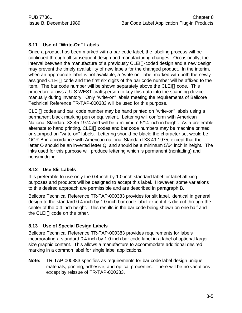# **8.11 Use of "Write-On" Labels**

Once a product has been marked with a bar code label, the labeling process will be continued through all subsequent design and manufacturing changes. Occasionally, the interval between the manufacture of a previously  $CLEI^{m}$ -coded design and a new design may prevent the timely availability of new labels for the changed product. In the interim, when an appropriate label is not available, a "write-on" label marked with both the newly assigned CLEI<sup>TM</sup> code and the first six digits of the bar code number will be affixed to the item. The bar code number will be shown separately above the CLEI<sup> $M$ </sup> code. This procedure allows a U S WEST craftsperson to key this data into the scanning device manually during inventory. Only "write-on" labels meeting the requirements of Bellcore Technical Reference TR-TAP-000383 will be used for this purpose.

CLEI<sup>TM</sup> codes and bar code number may be hand printed on "write-on" labels using a permanent black marking pen or equivalent. Lettering will conform with American National Standard X3.45-1974 and will be a minimum 5/14 inch in height. As a preferable alternate to hand printing,  $CLEI^M$  codes and bar code numbers may be machine printed or stamped on "write-on" labels. Lettering should be black; the character set would be OCR-B in accordance with American national Standard X3.49-1975, except that the letter O should be an inverted letter Q, and should be a minimum 5/64 inch in height. The inks used for this purpose will produce lettering which is permanent (nonfading) and nonsmudging.

# **8.12 Use Slit Labels**

It is preferable to use only the 0.4 inch by 1.0 inch standard label for label-affixing purposes and products will be designed to accept this label. However, some variations to this desired approach are permissible and are described in paragraph B.

Bellcore Technical Reference TR-TAP-000383 provides for slit label, identical in general design to the standard 0.4 inch by 1.0 inch bar code label except it is die-cut through the center of the 0.4 inch height. This results in the bar code being shown on one half and the CLEI<sup>™</sup> code on the other.

# **8.13 Use of Special Design Labels**

Bellcore Technical Reference TR-TAP-000383 provides requirements for labels incorporating a standard 0.4 inch by 1.0 inch bar code label in a label of optional larger size graphic content. This allows a manufacture to accommodate additional desired marking in a common label for single label applications.

**Note:** TR-TAP-000383 specifies as requirements for bar code label design unique materials, printing, adhesive, and optical properties. There will be no variations except by reissue of TR-TAP-000383.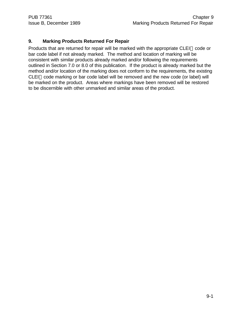# **9. Marking Products Returned For Repair**

Products that are returned for repair will be marked with the appropriate CLEI<sup>TM</sup> code or bar code label if not already marked. The method and location of marking will be consistent with similar products already marked and/or following the requirements outlined in Section 7.0 or 8.0 of this publication. If the product is already marked but the method and/or location of the marking does not conform to the requirements, the existing  $CLEI<sup>TM</sup> code marking or bar code label will be removed and the new code (or label) will$ be marked on the product. Areas where markings have been removed will be restored to be discernible with other unmarked and similar areas of the product.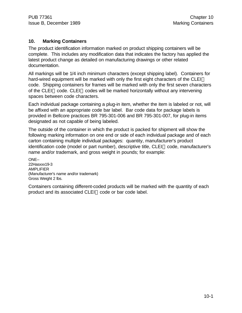#### **10. Marking Containers**

The product identification information marked on product shipping containers will be complete. This includes any modification data that indicates the factory has applied the latest product change as detailed on manufacturing drawings or other related documentation.

All markings will be 1/4 inch minimum characters (except shipping label). Containers for hard-wired equipment will be marked with only the first eight characters of the CLEI<sup>TM</sup> code. Shipping containers for frames will be marked with only the first seven characters of the CLEI<sup>M</sup> code. CLEI<sup>M</sup> codes will be marked horizontally without any intervening spaces between code characters.

Each individual package containing a plug-in item, whether the item is labeled or not, will be affixed with an appropriate code bar label. Bar code data for package labels is provided in Bellcore practices BR 795-301-006 and BR 795-301-007, for plug-in items designated as not capable of being labeled.

The outside of the container in which the product is packed for shipment will show the following marking information on one end or side of each individual package and of each carton containing multiple individual packages: quantity, manufacturer's product  $id$ entification code (model or part number), descriptive title,  $CLEI^{\pi}$  code, manufacturer's name and/or trademark, and gross weight in pounds; for example:

ONE-- 22Hasxxx19-3 AMPLIFIER (Manufacturer's name and/or trademark) Gross Weight 2 lbs.

Containers containing different-coded products will be marked with the quantity of each product and its associated CLEI™ code or bar code label.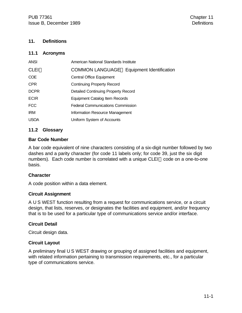#### **11. Definitions**

#### **11.1 Acronyms**

| <b>ANSI</b> | American National Standards Institute            |
|-------------|--------------------------------------------------|
| CLEI™       | <b>COMMON LANGUAGE® Equipment Identification</b> |
| <b>COE</b>  | <b>Central Office Equipment</b>                  |
| <b>CPR</b>  | <b>Continuing Property Record</b>                |
| <b>DCPR</b> | Detailed Continuing Property Record              |
| <b>ECIR</b> | Equipment Catalog Item Records                   |
| <b>FCC</b>  | <b>Federal Communications Commission</b>         |
| <b>IRM</b>  | Information Resource Management                  |
| <b>USOA</b> | Uniform System of Accounts                       |

#### **11.2 Glossary**

#### **Bar Code Number**

A bar code equivalent of nine characters consisting of a six-digit number followed by two dashes and a parity character (for code 11 labels only; for code 39, just the six digit numbers). Each code number is correlated with a unique CLEI™ code on a one-to-one basis.

#### **Character**

A code position within a data element.

#### **Circuit Assignment**

A U S WEST function resulting from a request for communications service, or a circuit design, that lists, reserves, or designates the facilities and equipment, and/or frequency that is to be used for a particular type of communications service and/or interface.

#### **Circuit Detail**

Circuit design data.

#### **Circuit Layout**

A preliminary final U S WEST drawing or grouping of assigned facilities and equipment, with related information pertaining to transmission requirements, etc., for a particular type of communications service.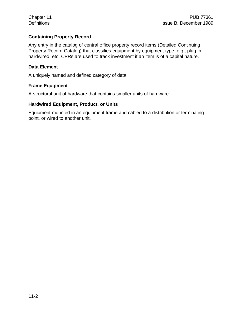#### **Containing Property Record**

Any entry in the catalog of central office property record items (Detailed Continuing Property Record Catalog) that classifies equipment by equipment type, e.g., plug-in, hardwired, etc. CPRs are used to track investment if an item is of a capital nature.

#### **Data Element**

A uniquely named and defined category of data.

#### **Frame Equipment**

A structural unit of hardware that contains smaller units of hardware.

#### **Hardwired Equipment, Product, or Units**

Equipment mounted in an equipment frame and cabled to a distribution or terminating point, or wired to another unit.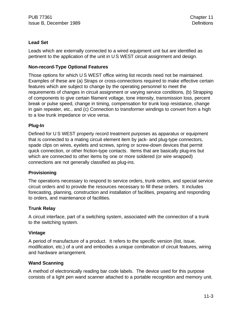#### **Lead Set**

Leads which are externally connected to a wired equipment unit but are identified as pertinent to the application of the unit in U S WEST circuit assignment and design.

#### **Non-record-Type Optional Features**

Those options for which U S WEST office wiring list records need not be maintained. Examples of these are (a) Straps or cross-connections required to make effective certain features which are subject to change by the operating personnel to meet the requirements of changes in circuit assignment or varying service conditions, (b) Strapping of components to give certain filament voltage, tone intensity, transmission loss, percent break or pulse speed, change in timing, compensation for trunk loop resistance, change in gain repeater, etc., and (c) Connection to transformer windings to convert from a high to a low trunk impedance or vice versa.

#### **Plug-In**

Defined for U S WEST property record treatment purposes as apparatus or equipment that is connected to a mating circuit element item by jack- and plug-type connectors, spade clips on wires, eyelets and screws, spring or screw-down devices that permit quick connection, or other friction-type contacts. Items that are basically plug-ins but which are connected to other items by one or more soldered (or wire wrapped) connections are not generally classified as plug-ins.

#### **Provisioning**

The operations necessary to respond to service orders, trunk orders, and special service circuit orders and to provide the resources necessary to fill these orders. It includes forecasting, planning, construction and installation of facilities, preparing and responding to orders, and maintenance of facilities.

#### **Trunk Relay**

A circuit interface, part of a switching system, associated with the connection of a trunk to the switching system.

#### **Vintage**

A period of manufacture of a product. It refers to the specific version (list, issue, modification, etc.) of a unit and embodies a unique combination of circuit features, wiring and hardware arrangement.

#### **Wand Scanning**

A method of electronically reading bar code labels. The device used for this purpose consists of a light pen wand scanner attached to a portable recognition and memory unit.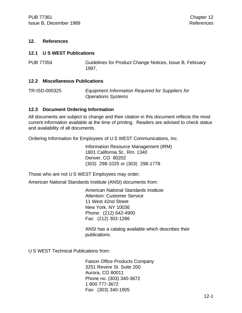#### **12. References**

#### **12.1 U S WEST Publications**

PUB 77354 Guidelines for Product Change Notices, Issue B, February 1987,

#### **12.2 Miscellaneous Publications**

TR-ISD-000325 *Equipment Information Required for Suppliers for Operations Systems*

#### **12.3 Document Ordering Information**

All documents are subject to change and their citation in this document reflects the most current information available at the time of printing. Readers are advised to check status and availability of all documents.

Ordering Information for Employees of U S WEST Communications, Inc.

Information Resource Management (IRM) 1801 California St., Rm. 1340 Denver, CO 80202 (303) 298-1025 or (303) 298-1778

Those who are not U S WEST Employees may order:

American National Standards Institute (ANSI) documents from:

American National Standards Institute Attention: Customer Service 11 West 42nd Street New York, NY 10036 Phone: (212) 642-4900 Fax: (212) 302-1286

ANSI has a catalog available which describes their publications.

U S WEST Technical Publications from:

Faison Office Products Company 3251 Revere St. Suite 200 Aurora, CO 80011 Phone no. (303) 340-3672 1 800 777-3672 Fax: (303) 340-1905